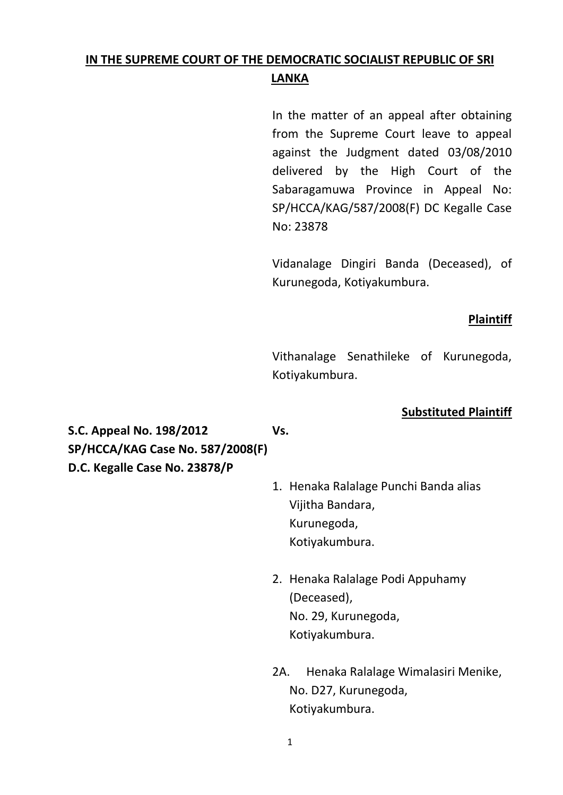# **IN THE SUPREME COURT OF THE DEMOCRATIC SOCIALIST REPUBLIC OF SRI LANKA**

In the matter of an appeal after obtaining from the Supreme Court leave to appeal against the Judgment dated 03/08/2010 delivered by the High Court of the Sabaragamuwa Province in Appeal No: SP/HCCA/KAG/587/2008(F) DC Kegalle Case No: 23878

Vidanalage Dingiri Banda (Deceased), of Kurunegoda, Kotiyakumbura.

### **Plaintiff**

Vithanalage Senathileke of Kurunegoda, Kotiyakumbura.

## **Substituted Plaintiff**

**S.C. Appeal No. 198/2012 Vs. SP/HCCA/KAG Case No. 587/2008(F) D.C. Kegalle Case No. 23878/P**

- 1. Henaka Ralalage Punchi Banda alias Vijitha Bandara, Kurunegoda, Kotiyakumbura.
- 2. Henaka Ralalage Podi Appuhamy (Deceased), No. 29, Kurunegoda, Kotiyakumbura.
- 2A. Henaka Ralalage Wimalasiri Menike, No. D27, Kurunegoda, Kotiyakumbura.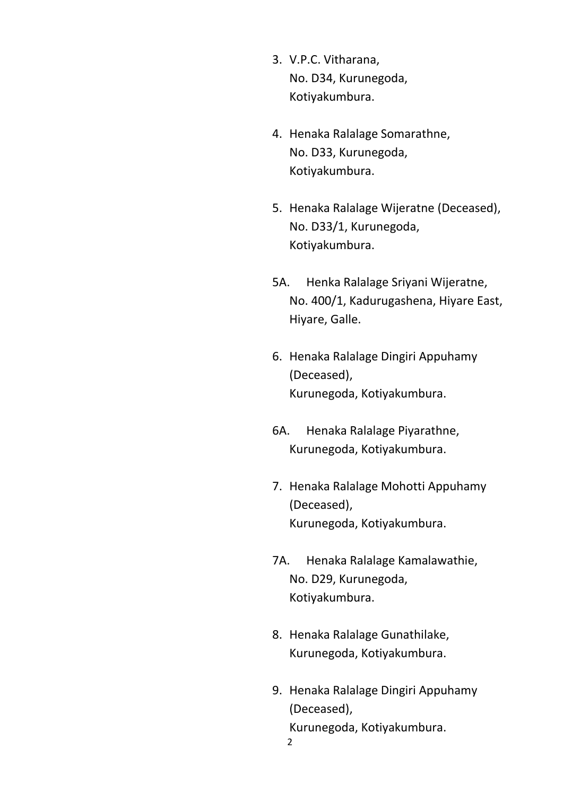- 3. V.P.C. Vitharana, No. D34, Kurunegoda, Kotiyakumbura.
- 4. Henaka Ralalage Somarathne, No. D33, Kurunegoda, Kotiyakumbura.
- 5. Henaka Ralalage Wijeratne (Deceased), No. D33/1, Kurunegoda, Kotiyakumbura.
- 5A. Henka Ralalage Sriyani Wijeratne, No. 400/1, Kadurugashena, Hiyare East, Hiyare, Galle.
- 6. Henaka Ralalage Dingiri Appuhamy (Deceased), Kurunegoda, Kotiyakumbura.
- 6A. Henaka Ralalage Piyarathne, Kurunegoda, Kotiyakumbura.
- 7. Henaka Ralalage Mohotti Appuhamy (Deceased), Kurunegoda, Kotiyakumbura.
- 7A. Henaka Ralalage Kamalawathie, No. D29, Kurunegoda, Kotiyakumbura.
- 8. Henaka Ralalage Gunathilake, Kurunegoda, Kotiyakumbura.
- 2 9. Henaka Ralalage Dingiri Appuhamy (Deceased), Kurunegoda, Kotiyakumbura.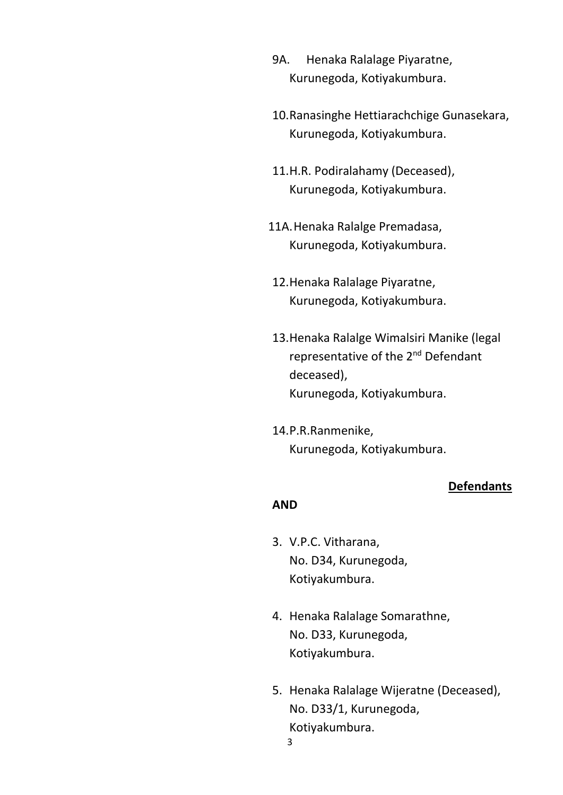- 9A. Henaka Ralalage Piyaratne, Kurunegoda, Kotiyakumbura.
- 10.Ranasinghe Hettiarachchige Gunasekara, Kurunegoda, Kotiyakumbura.
- 11.H.R. Podiralahamy (Deceased), Kurunegoda, Kotiyakumbura.
- 11A.Henaka Ralalge Premadasa, Kurunegoda, Kotiyakumbura.
- 12.Henaka Ralalage Piyaratne, Kurunegoda, Kotiyakumbura.
- 13.Henaka Ralalge Wimalsiri Manike (legal representative of the 2<sup>nd</sup> Defendant deceased), Kurunegoda, Kotiyakumbura.
- 14.P.R.Ranmenike, Kurunegoda, Kotiyakumbura.

### **Defendants**

## **AND**

- 3. V.P.C. Vitharana, No. D34, Kurunegoda, Kotiyakumbura.
- 4. Henaka Ralalage Somarathne, No. D33, Kurunegoda, Kotiyakumbura.
- 5. Henaka Ralalage Wijeratne (Deceased), No. D33/1, Kurunegoda, Kotiyakumbura.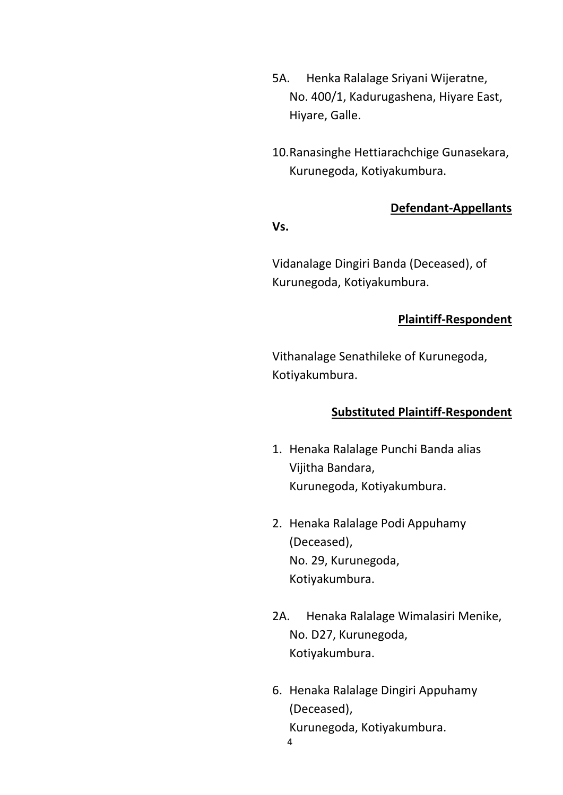- 5A. Henka Ralalage Sriyani Wijeratne, No. 400/1, Kadurugashena, Hiyare East, Hiyare, Galle.
- 10.Ranasinghe Hettiarachchige Gunasekara, Kurunegoda, Kotiyakumbura.

## **Defendant-Appellants**

#### **Vs.**

Vidanalage Dingiri Banda (Deceased), of Kurunegoda, Kotiyakumbura.

## **Plaintiff-Respondent**

Vithanalage Senathileke of Kurunegoda, Kotiyakumbura.

## **Substituted Plaintiff-Respondent**

- 1. Henaka Ralalage Punchi Banda alias Vijitha Bandara, Kurunegoda, Kotiyakumbura.
- 2. Henaka Ralalage Podi Appuhamy (Deceased), No. 29, Kurunegoda, Kotiyakumbura.
- 2A. Henaka Ralalage Wimalasiri Menike, No. D27, Kurunegoda, Kotiyakumbura.
- 4 6. Henaka Ralalage Dingiri Appuhamy (Deceased), Kurunegoda, Kotiyakumbura.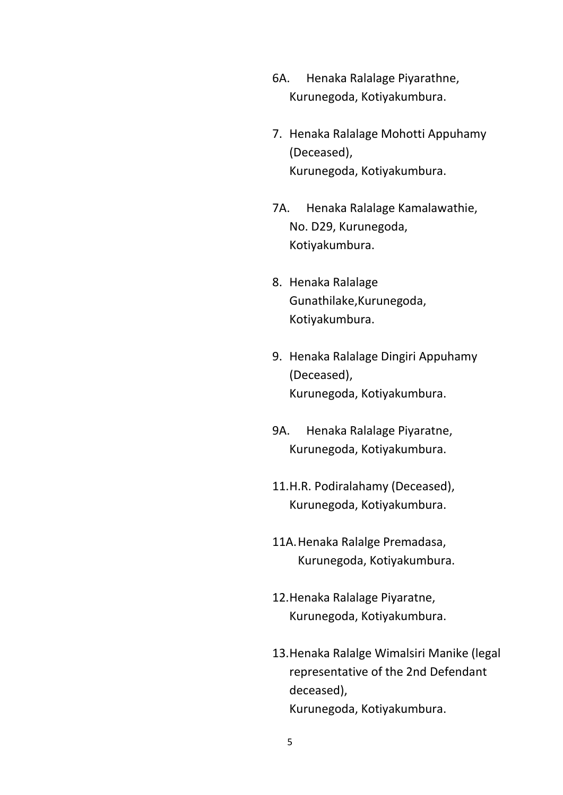- 6A. Henaka Ralalage Piyarathne, Kurunegoda, Kotiyakumbura.
- 7. Henaka Ralalage Mohotti Appuhamy (Deceased), Kurunegoda, Kotiyakumbura.
- 7A. Henaka Ralalage Kamalawathie, No. D29, Kurunegoda, Kotiyakumbura.
- 8. Henaka Ralalage Gunathilake,Kurunegoda, Kotiyakumbura.
- 9. Henaka Ralalage Dingiri Appuhamy (Deceased), Kurunegoda, Kotiyakumbura.
- 9A. Henaka Ralalage Piyaratne, Kurunegoda, Kotiyakumbura.
- 11.H.R. Podiralahamy (Deceased), Kurunegoda, Kotiyakumbura.
- 11A.Henaka Ralalge Premadasa, Kurunegoda, Kotiyakumbura.
- 12.Henaka Ralalage Piyaratne, Kurunegoda, Kotiyakumbura.
- 13.Henaka Ralalge Wimalsiri Manike (legal representative of the 2nd Defendant deceased), Kurunegoda, Kotiyakumbura.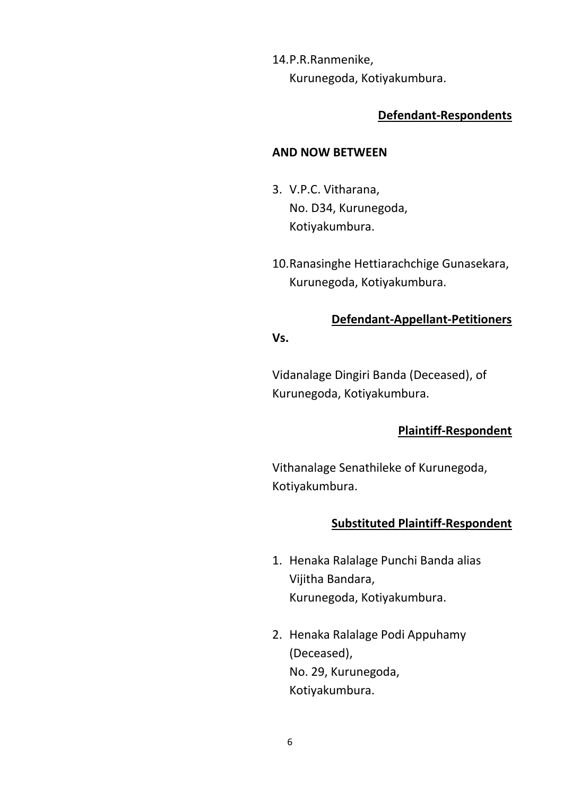14.P.R.Ranmenike, Kurunegoda, Kotiyakumbura.

## **Defendant-Respondents**

#### **AND NOW BETWEEN**

- 3. V.P.C. Vitharana, No. D34, Kurunegoda, Kotiyakumbura.
- 10.Ranasinghe Hettiarachchige Gunasekara, Kurunegoda, Kotiyakumbura.

### **Defendant-Appellant-Petitioners**

## **Vs.**

Vidanalage Dingiri Banda (Deceased), of Kurunegoda, Kotiyakumbura.

### **Plaintiff-Respondent**

Vithanalage Senathileke of Kurunegoda, Kotiyakumbura.

### **Substituted Plaintiff-Respondent**

- 1. Henaka Ralalage Punchi Banda alias Vijitha Bandara, Kurunegoda, Kotiyakumbura.
- 2. Henaka Ralalage Podi Appuhamy (Deceased), No. 29, Kurunegoda, Kotiyakumbura.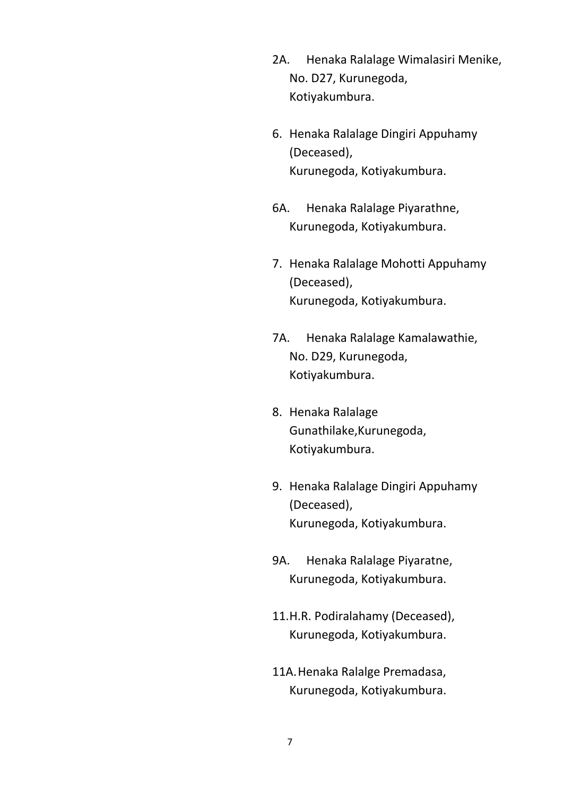- 2A. Henaka Ralalage Wimalasiri Menike, No. D27, Kurunegoda, Kotiyakumbura.
- 6. Henaka Ralalage Dingiri Appuhamy (Deceased), Kurunegoda, Kotiyakumbura.
- 6A. Henaka Ralalage Piyarathne, Kurunegoda, Kotiyakumbura.
- 7. Henaka Ralalage Mohotti Appuhamy (Deceased), Kurunegoda, Kotiyakumbura.
- 7A. Henaka Ralalage Kamalawathie, No. D29, Kurunegoda, Kotiyakumbura.
- 8. Henaka Ralalage Gunathilake,Kurunegoda, Kotiyakumbura.
- 9. Henaka Ralalage Dingiri Appuhamy (Deceased), Kurunegoda, Kotiyakumbura.
- 9A. Henaka Ralalage Piyaratne, Kurunegoda, Kotiyakumbura.
- 11.H.R. Podiralahamy (Deceased), Kurunegoda, Kotiyakumbura.
- 11A.Henaka Ralalge Premadasa, Kurunegoda, Kotiyakumbura.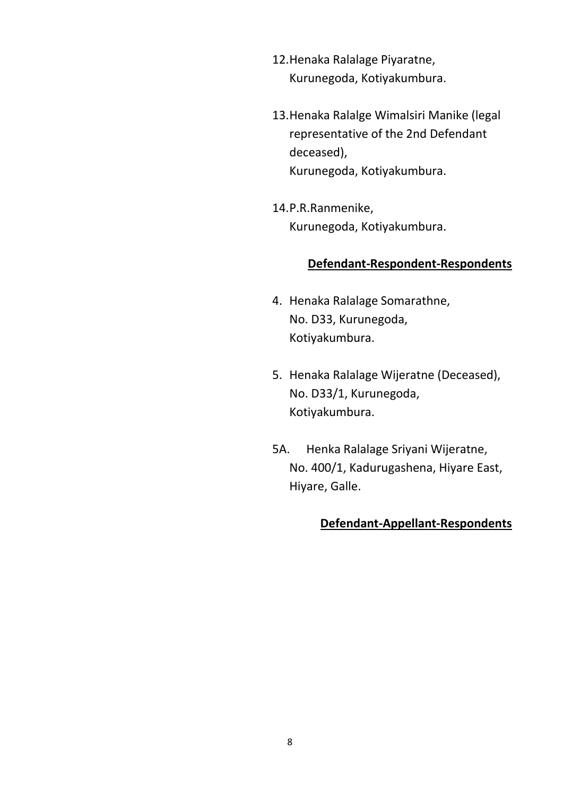- 12.Henaka Ralalage Piyaratne, Kurunegoda, Kotiyakumbura.
- 13.Henaka Ralalge Wimalsiri Manike (legal representative of the 2nd Defendant deceased), Kurunegoda, Kotiyakumbura.
- 14.P.R.Ranmenike, Kurunegoda, Kotiyakumbura.

#### **Defendant-Respondent-Respondents**

- 4. Henaka Ralalage Somarathne, No. D33, Kurunegoda, Kotiyakumbura.
- 5. Henaka Ralalage Wijeratne (Deceased), No. D33/1, Kurunegoda, Kotiyakumbura.
- 5A. Henka Ralalage Sriyani Wijeratne, No. 400/1, Kadurugashena, Hiyare East, Hiyare, Galle.

### **Defendant-Appellant-Respondents**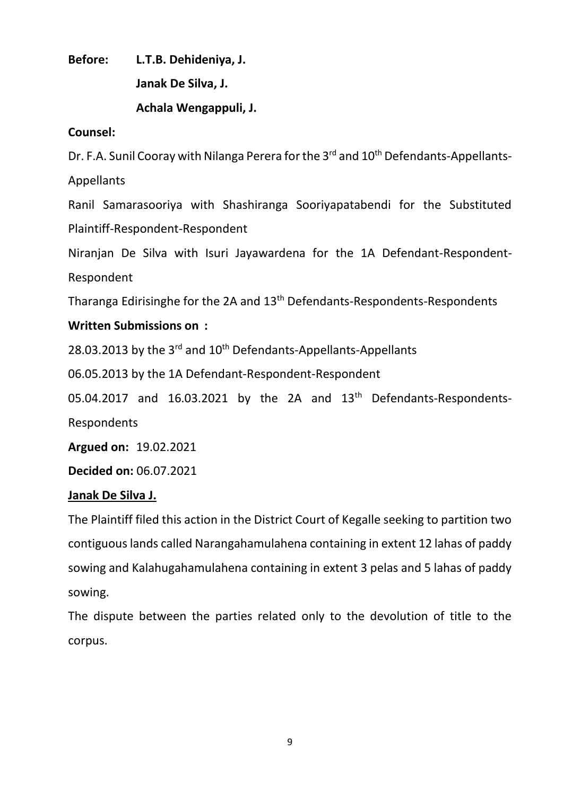**Before: L.T.B. Dehideniya, J. Janak De Silva, J. Achala Wengappuli, J.**

## **Counsel:**

Dr. F.A. Sunil Cooray with Nilanga Perera for the 3<sup>rd</sup> and 10<sup>th</sup> Defendants-Appellants-Appellants

Ranil Samarasooriya with Shashiranga Sooriyapatabendi for the Substituted Plaintiff-Respondent-Respondent

Niranjan De Silva with Isuri Jayawardena for the 1A Defendant-Respondent-Respondent

Tharanga Edirisinghe for the 2A and 13th Defendants-Respondents-Respondents

# **Written Submissions on :**

28.03.2013 by the  $3<sup>rd</sup>$  and  $10<sup>th</sup>$  Defendants-Appellants-Appellants

06.05.2013 by the 1A Defendant-Respondent-Respondent

05.04.2017 and  $16.03.2021$  by the 2A and  $13<sup>th</sup>$  Defendants-Respondents-Respondents

**Argued on:** 19.02.2021

**Decided on:** 06.07.2021

## **Janak De Silva J.**

The Plaintiff filed this action in the District Court of Kegalle seeking to partition two contiguous lands called Narangahamulahena containing in extent 12 lahas of paddy sowing and Kalahugahamulahena containing in extent 3 pelas and 5 lahas of paddy sowing.

The dispute between the parties related only to the devolution of title to the corpus.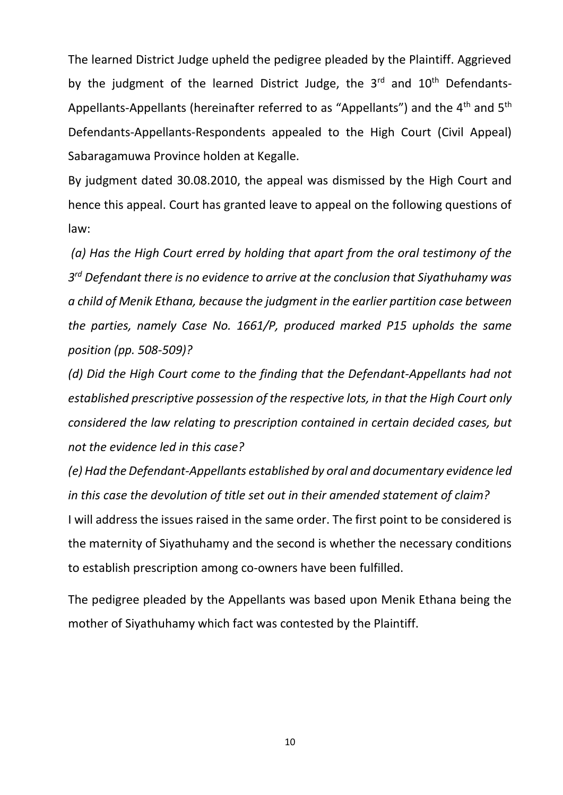The learned District Judge upheld the pedigree pleaded by the Plaintiff. Aggrieved by the judgment of the learned District Judge, the  $3<sup>rd</sup>$  and  $10<sup>th</sup>$  Defendants-Appellants-Appellants (hereinafter referred to as "Appellants") and the 4<sup>th</sup> and 5<sup>th</sup> Defendants-Appellants-Respondents appealed to the High Court (Civil Appeal) Sabaragamuwa Province holden at Kegalle.

By judgment dated 30.08.2010, the appeal was dismissed by the High Court and hence this appeal. Court has granted leave to appeal on the following questions of law:

*(a) Has the High Court erred by holding that apart from the oral testimony of the 3 rd Defendant there is no evidence to arrive at the conclusion that Siyathuhamy was a child of Menik Ethana, because the judgment in the earlier partition case between the parties, namely Case No. 1661/P, produced marked P15 upholds the same position (pp. 508-509)?* 

*(d) Did the High Court come to the finding that the Defendant-Appellants had not established prescriptive possession of the respective lots, in that the High Court only considered the law relating to prescription contained in certain decided cases, but not the evidence led in this case?*

*(e) Had the Defendant-Appellants established by oral and documentary evidence led in this case the devolution of title set out in their amended statement of claim?* I will address the issues raised in the same order. The first point to be considered is the maternity of Siyathuhamy and the second is whether the necessary conditions to establish prescription among co-owners have been fulfilled.

The pedigree pleaded by the Appellants was based upon Menik Ethana being the mother of Siyathuhamy which fact was contested by the Plaintiff.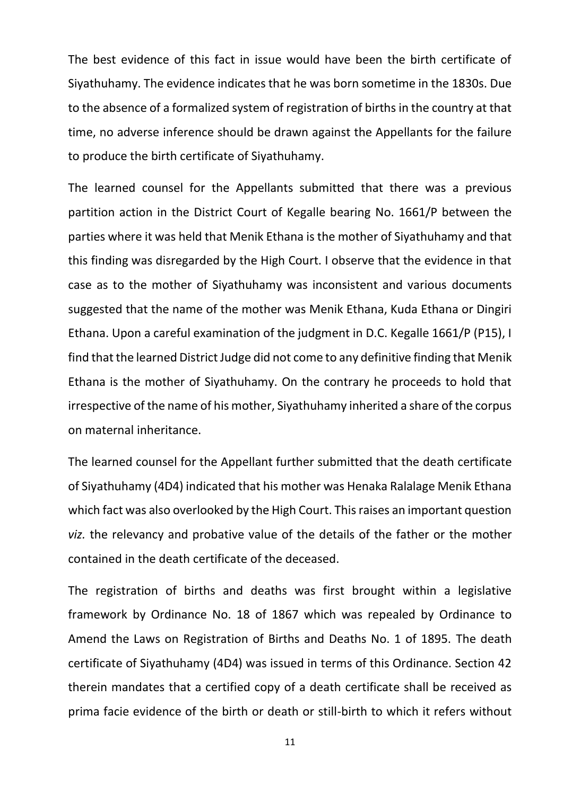The best evidence of this fact in issue would have been the birth certificate of Siyathuhamy. The evidence indicates that he was born sometime in the 1830s. Due to the absence of a formalized system of registration of births in the country at that time, no adverse inference should be drawn against the Appellants for the failure to produce the birth certificate of Siyathuhamy.

The learned counsel for the Appellants submitted that there was a previous partition action in the District Court of Kegalle bearing No. 1661/P between the parties where it was held that Menik Ethana is the mother of Siyathuhamy and that this finding was disregarded by the High Court. I observe that the evidence in that case as to the mother of Siyathuhamy was inconsistent and various documents suggested that the name of the mother was Menik Ethana, Kuda Ethana or Dingiri Ethana. Upon a careful examination of the judgment in D.C. Kegalle 1661/P (P15), I find that the learned District Judge did not come to any definitive finding that Menik Ethana is the mother of Siyathuhamy. On the contrary he proceeds to hold that irrespective of the name of his mother, Siyathuhamy inherited a share of the corpus on maternal inheritance.

The learned counsel for the Appellant further submitted that the death certificate of Siyathuhamy (4D4) indicated that his mother was Henaka Ralalage Menik Ethana which fact was also overlooked by the High Court. This raises an important question *viz.* the relevancy and probative value of the details of the father or the mother contained in the death certificate of the deceased.

The registration of births and deaths was first brought within a legislative framework by Ordinance No. 18 of 1867 which was repealed by Ordinance to Amend the Laws on Registration of Births and Deaths No. 1 of 1895. The death certificate of Siyathuhamy (4D4) was issued in terms of this Ordinance. Section 42 therein mandates that a certified copy of a death certificate shall be received as prima facie evidence of the birth or death or still-birth to which it refers without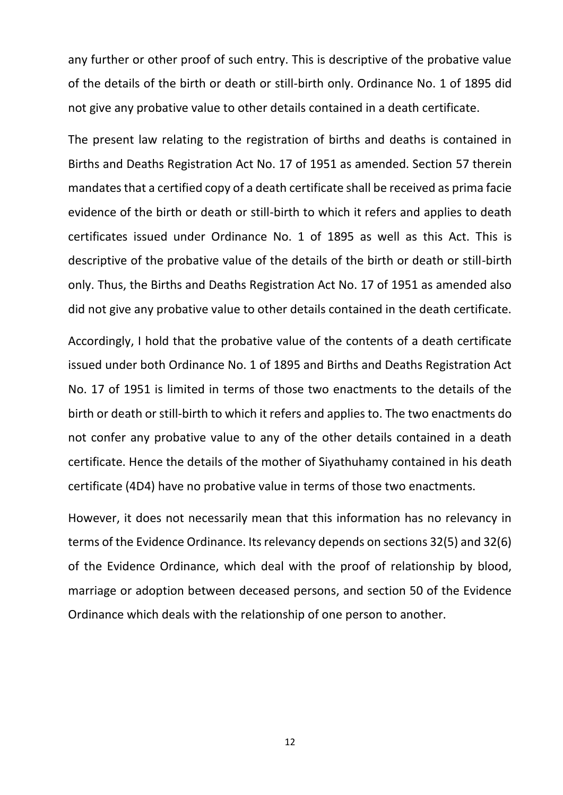any further or other proof of such entry. This is descriptive of the probative value of the details of the birth or death or still-birth only. Ordinance No. 1 of 1895 did not give any probative value to other details contained in a death certificate.

The present law relating to the registration of births and deaths is contained in Births and Deaths Registration Act No. 17 of 1951 as amended. Section 57 therein mandates that a certified copy of a death certificate shall be received as prima facie evidence of the birth or death or still-birth to which it refers and applies to death certificates issued under Ordinance No. 1 of 1895 as well as this Act. This is descriptive of the probative value of the details of the birth or death or still-birth only. Thus, the Births and Deaths Registration Act No. 17 of 1951 as amended also did not give any probative value to other details contained in the death certificate.

Accordingly, I hold that the probative value of the contents of a death certificate issued under both Ordinance No. 1 of 1895 and Births and Deaths Registration Act No. 17 of 1951 is limited in terms of those two enactments to the details of the birth or death or still-birth to which it refers and applies to. The two enactments do not confer any probative value to any of the other details contained in a death certificate. Hence the details of the mother of Siyathuhamy contained in his death certificate (4D4) have no probative value in terms of those two enactments.

However, it does not necessarily mean that this information has no relevancy in terms of the Evidence Ordinance. Its relevancy depends on sections 32(5) and 32(6) of the Evidence Ordinance, which deal with the proof of relationship by blood, marriage or adoption between deceased persons, and section 50 of the Evidence Ordinance which deals with the relationship of one person to another.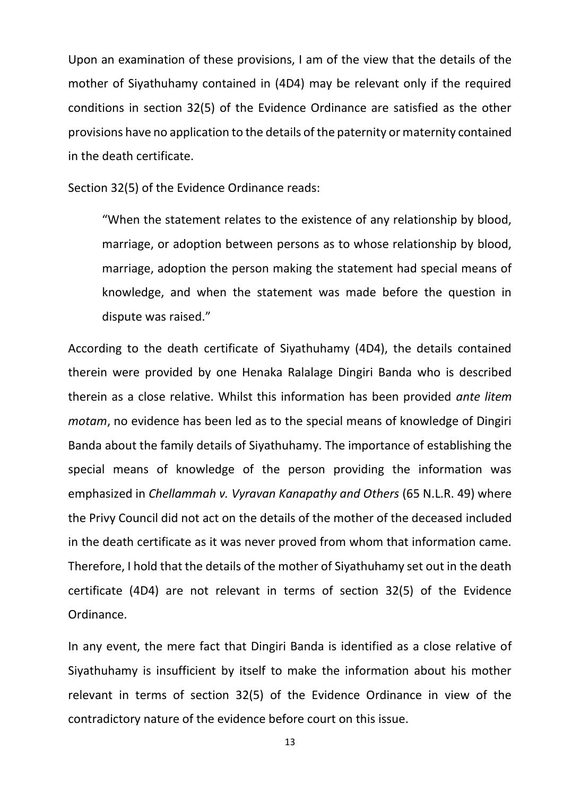Upon an examination of these provisions, I am of the view that the details of the mother of Siyathuhamy contained in (4D4) may be relevant only if the required conditions in section 32(5) of the Evidence Ordinance are satisfied as the other provisions have no application to the details of the paternity or maternity contained in the death certificate.

Section 32(5) of the Evidence Ordinance reads:

"When the statement relates to the existence of any relationship by blood, marriage, or adoption between persons as to whose relationship by blood, marriage, adoption the person making the statement had special means of knowledge, and when the statement was made before the question in dispute was raised."

According to the death certificate of Siyathuhamy (4D4), the details contained therein were provided by one Henaka Ralalage Dingiri Banda who is described therein as a close relative. Whilst this information has been provided *ante litem motam*, no evidence has been led as to the special means of knowledge of Dingiri Banda about the family details of Siyathuhamy. The importance of establishing the special means of knowledge of the person providing the information was emphasized in *Chellammah v. Vyravan Kanapathy and Others* (65 N.L.R. 49) where the Privy Council did not act on the details of the mother of the deceased included in the death certificate as it was never proved from whom that information came. Therefore, I hold that the details of the mother of Siyathuhamy set out in the death certificate (4D4) are not relevant in terms of section 32(5) of the Evidence Ordinance.

In any event, the mere fact that Dingiri Banda is identified as a close relative of Siyathuhamy is insufficient by itself to make the information about his mother relevant in terms of section 32(5) of the Evidence Ordinance in view of the contradictory nature of the evidence before court on this issue.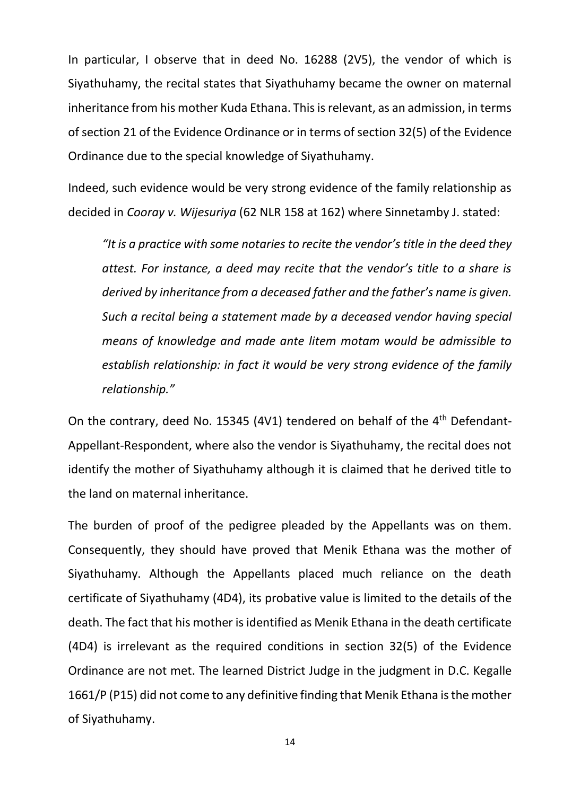In particular, I observe that in deed No. 16288 (2V5), the vendor of which is Siyathuhamy, the recital states that Siyathuhamy became the owner on maternal inheritance from his mother Kuda Ethana. This is relevant, as an admission, in terms of section 21 of the Evidence Ordinance or in terms of section 32(5) of the Evidence Ordinance due to the special knowledge of Siyathuhamy.

Indeed, such evidence would be very strong evidence of the family relationship as decided in *Cooray v. Wijesuriya* (62 NLR 158 at 162) where Sinnetamby J. stated:

*"It is a practice with some notaries to recite the vendor's title in the deed they attest. For instance, a deed may recite that the vendor's title to a share is derived by inheritance from a deceased father and the father's name is given. Such a recital being a statement made by a deceased vendor having special means of knowledge and made ante litem motam would be admissible to establish relationship: in fact it would be very strong evidence of the family relationship."* 

On the contrary, deed No. 15345 (4V1) tendered on behalf of the 4<sup>th</sup> Defendant-Appellant-Respondent, where also the vendor is Siyathuhamy, the recital does not identify the mother of Siyathuhamy although it is claimed that he derived title to the land on maternal inheritance.

The burden of proof of the pedigree pleaded by the Appellants was on them. Consequently, they should have proved that Menik Ethana was the mother of Siyathuhamy. Although the Appellants placed much reliance on the death certificate of Siyathuhamy (4D4), its probative value is limited to the details of the death. The fact that his mother is identified as Menik Ethana in the death certificate (4D4) is irrelevant as the required conditions in section 32(5) of the Evidence Ordinance are not met. The learned District Judge in the judgment in D.C. Kegalle 1661/P (P15) did not come to any definitive finding that Menik Ethana is the mother of Siyathuhamy.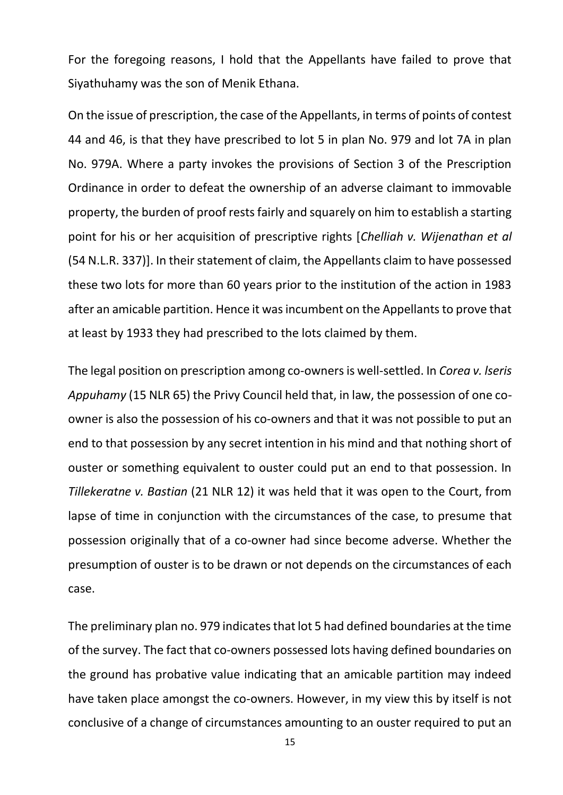For the foregoing reasons, I hold that the Appellants have failed to prove that Siyathuhamy was the son of Menik Ethana.

On the issue of prescription, the case of the Appellants, in terms of points of contest 44 and 46, is that they have prescribed to lot 5 in plan No. 979 and lot 7A in plan No. 979A. Where a party invokes the provisions of Section 3 of the Prescription Ordinance in order to defeat the ownership of an adverse claimant to immovable property, the burden of proof rests fairly and squarely on him to establish a starting point for his or her acquisition of prescriptive rights [*Chelliah v. Wijenathan et al* (54 N.L.R. 337)]. In their statement of claim, the Appellants claim to have possessed these two lots for more than 60 years prior to the institution of the action in 1983 after an amicable partition. Hence it was incumbent on the Appellants to prove that at least by 1933 they had prescribed to the lots claimed by them.

The legal position on prescription among co-owners is well-settled. In *Corea v. lseris Appuhamy* (15 NLR 65) the Privy Council held that, in law, the possession of one coowner is also the possession of his co-owners and that it was not possible to put an end to that possession by any secret intention in his mind and that nothing short of ouster or something equivalent to ouster could put an end to that possession. In *Tillekeratne v. Bastian* (21 NLR 12) it was held that it was open to the Court, from lapse of time in conjunction with the circumstances of the case, to presume that possession originally that of a co-owner had since become adverse. Whether the presumption of ouster is to be drawn or not depends on the circumstances of each case.

The preliminary plan no. 979 indicates that lot 5 had defined boundaries at the time of the survey. The fact that co-owners possessed lots having defined boundaries on the ground has probative value indicating that an amicable partition may indeed have taken place amongst the co-owners. However, in my view this by itself is not conclusive of a change of circumstances amounting to an ouster required to put an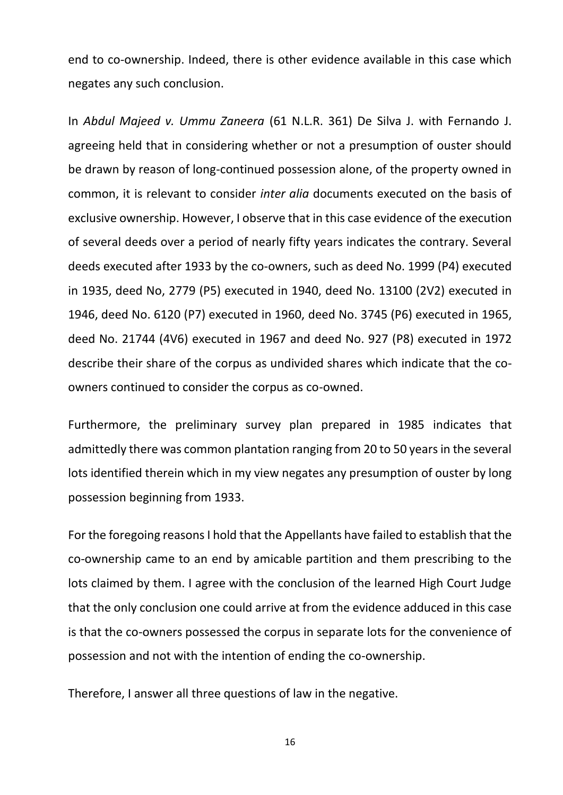end to co-ownership. Indeed, there is other evidence available in this case which negates any such conclusion.

In *Abdul Majeed v. Ummu Zaneera* (61 N.L.R. 361) De Silva J. with Fernando J. agreeing held that in considering whether or not a presumption of ouster should be drawn by reason of long-continued possession alone, of the property owned in common, it is relevant to consider *inter alia* documents executed on the basis of exclusive ownership. However, I observe that in this case evidence of the execution of several deeds over a period of nearly fifty years indicates the contrary. Several deeds executed after 1933 by the co-owners, such as deed No. 1999 (P4) executed in 1935, deed No, 2779 (P5) executed in 1940, deed No. 13100 (2V2) executed in 1946, deed No. 6120 (P7) executed in 1960, deed No. 3745 (P6) executed in 1965, deed No. 21744 (4V6) executed in 1967 and deed No. 927 (P8) executed in 1972 describe their share of the corpus as undivided shares which indicate that the coowners continued to consider the corpus as co-owned.

Furthermore, the preliminary survey plan prepared in 1985 indicates that admittedly there was common plantation ranging from 20 to 50 years in the several lots identified therein which in my view negates any presumption of ouster by long possession beginning from 1933.

For the foregoing reasons I hold that the Appellants have failed to establish that the co-ownership came to an end by amicable partition and them prescribing to the lots claimed by them. I agree with the conclusion of the learned High Court Judge that the only conclusion one could arrive at from the evidence adduced in this case is that the co-owners possessed the corpus in separate lots for the convenience of possession and not with the intention of ending the co-ownership.

Therefore, I answer all three questions of law in the negative.